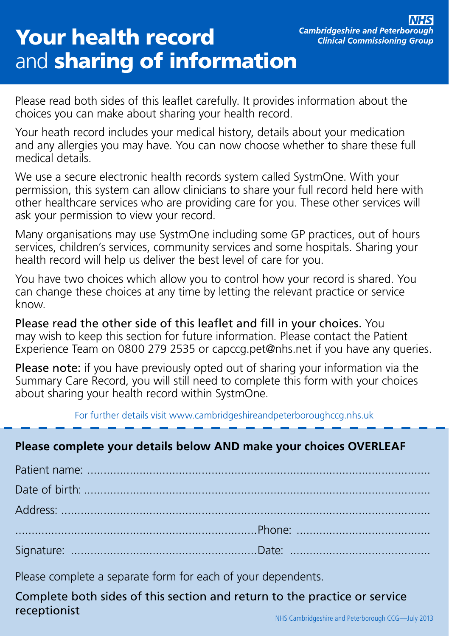# Your health record and **sharing of information**

Please read both sides of this leaflet carefully. It provides information about the choices you can make about sharing your health record.

Your heath record includes your medical history, details about your medication and any allergies you may have. You can now choose whether to share these full medical details.

We use a secure electronic health records system called SystmOne. With your permission, this system can allow clinicians to share your full record held here with other healthcare services who are providing care for you. These other services will ask your permission to view your record.

Many organisations may use SystmOne including some GP practices, out of hours services, children's services, community services and some hospitals. Sharing your health record will help us deliver the best level of care for you.

You have two choices which allow you to control how your record is shared. You can change these choices at any time by letting the relevant practice or service know.

Please read the other side of this leaflet and fill in your choices. You may wish to keep this section for future information. Please contact the Patient Experience Team on 0800 279 2535 or capccg.pet@nhs.net if you have any queries.

Please note: if you have previously opted out of sharing your information via the Summary Care Record, you will still need to complete this form with your choices about sharing your health record within SystmOne.

For further details visit www.cambridgeshireandpeterboroughccg.nhs.uk

#### **Please complete your details below AND make your choices OVERLEAF**

Please complete a separate form for each of your dependents.

Complete both sides of this section and return to the practice or service **receptionist** NHS Cambridgeshire and Peterborough CCG—July 2013